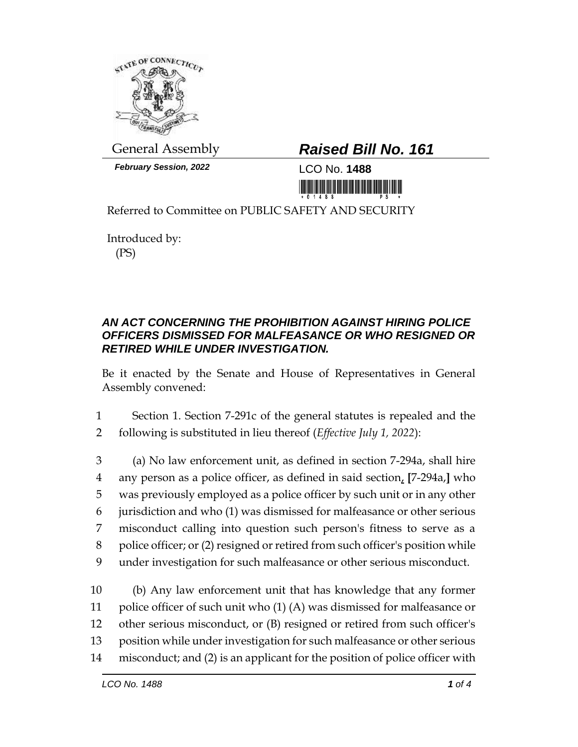

*February Session, 2022* LCO No. **1488**

## General Assembly *Raised Bill No. 161*

<u> 1999 - An Dùbhlachd Marwrig Marwr</u>

Referred to Committee on PUBLIC SAFETY AND SECURITY

Introduced by: (PS)

## *AN ACT CONCERNING THE PROHIBITION AGAINST HIRING POLICE OFFICERS DISMISSED FOR MALFEASANCE OR WHO RESIGNED OR RETIRED WHILE UNDER INVESTIGATION.*

Be it enacted by the Senate and House of Representatives in General Assembly convened:

1 Section 1. Section 7-291c of the general statutes is repealed and the 2 following is substituted in lieu thereof (*Effective July 1, 2022*):

 (a) No law enforcement unit, as defined in section 7-294a, shall hire any person as a police officer, as defined in said section, **[**7-294a,**]** who was previously employed as a police officer by such unit or in any other jurisdiction and who (1) was dismissed for malfeasance or other serious misconduct calling into question such person's fitness to serve as a police officer; or (2) resigned or retired from such officer's position while under investigation for such malfeasance or other serious misconduct.

 (b) Any law enforcement unit that has knowledge that any former police officer of such unit who (1) (A) was dismissed for malfeasance or other serious misconduct, or (B) resigned or retired from such officer's position while under investigation for such malfeasance or other serious misconduct; and (2) is an applicant for the position of police officer with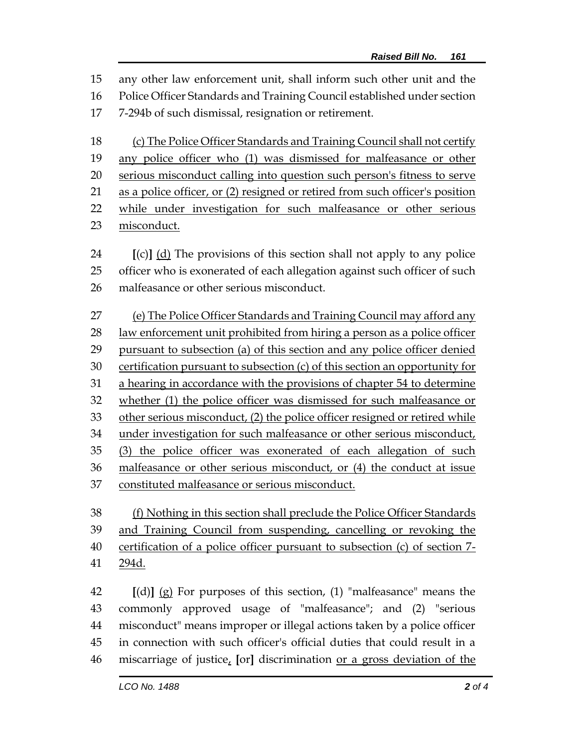any other law enforcement unit, shall inform such other unit and the Police Officer Standards and Training Council established under section 7-294b of such dismissal, resignation or retirement.

(c) The Police Officer Standards and Training Council shall not certify

any police officer who (1) was dismissed for malfeasance or other

 serious misconduct calling into question such person's fitness to serve as a police officer, or (2) resigned or retired from such officer's position

while under investigation for such malfeasance or other serious

misconduct.

 **[**(c)**]** (d) The provisions of this section shall not apply to any police officer who is exonerated of each allegation against such officer of such malfeasance or other serious misconduct.

 (e) The Police Officer Standards and Training Council may afford any law enforcement unit prohibited from hiring a person as a police officer pursuant to subsection (a) of this section and any police officer denied certification pursuant to subsection (c) of this section an opportunity for a hearing in accordance with the provisions of chapter 54 to determine whether (1) the police officer was dismissed for such malfeasance or other serious misconduct, (2) the police officer resigned or retired while under investigation for such malfeasance or other serious misconduct, (3) the police officer was exonerated of each allegation of such malfeasance or other serious misconduct, or (4) the conduct at issue constituted malfeasance or serious misconduct.

 (f) Nothing in this section shall preclude the Police Officer Standards and Training Council from suspending, cancelling or revoking the certification of a police officer pursuant to subsection (c) of section 7- 294d.

 **[**(d)**]** (g) For purposes of this section, (1) "malfeasance" means the commonly approved usage of "malfeasance"; and (2) "serious misconduct" means improper or illegal actions taken by a police officer in connection with such officer's official duties that could result in a miscarriage of justice, **[**or**]** discrimination or a gross deviation of the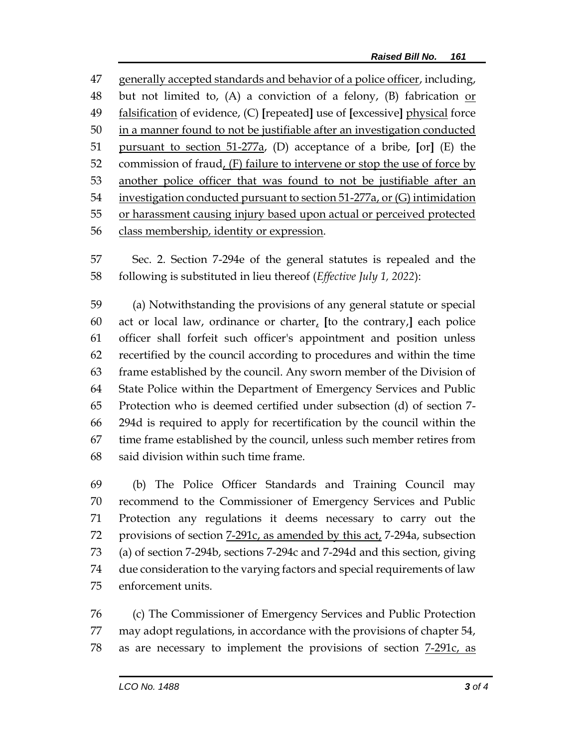generally accepted standards and behavior of a police officer, including, but not limited to, (A) a conviction of a felony, (B) fabrication or falsification of evidence, (C) **[**repeated**]** use of **[**excessive**]** physical force in a manner found to not be justifiable after an investigation conducted pursuant to section 51-277a, (D) acceptance of a bribe, **[**or**]** (E) the commission of fraud, (F) failure to intervene or stop the use of force by another police officer that was found to not be justifiable after an investigation conducted pursuant to section 51-277a, or (G) intimidation or harassment causing injury based upon actual or perceived protected class membership, identity or expression.

 Sec. 2. Section 7-294e of the general statutes is repealed and the following is substituted in lieu thereof (*Effective July 1, 2022*):

 (a) Notwithstanding the provisions of any general statute or special act or local law, ordinance or charter, **[**to the contrary,**]** each police officer shall forfeit such officer's appointment and position unless recertified by the council according to procedures and within the time frame established by the council. Any sworn member of the Division of State Police within the Department of Emergency Services and Public Protection who is deemed certified under subsection (d) of section 7- 294d is required to apply for recertification by the council within the time frame established by the council, unless such member retires from said division within such time frame.

 (b) The Police Officer Standards and Training Council may recommend to the Commissioner of Emergency Services and Public Protection any regulations it deems necessary to carry out the provisions of section 7-291c, as amended by this act, 7-294a, subsection (a) of section 7-294b, sections 7-294c and 7-294d and this section, giving due consideration to the varying factors and special requirements of law enforcement units.

 (c) The Commissioner of Emergency Services and Public Protection may adopt regulations, in accordance with the provisions of chapter 54, 78 as are necessary to implement the provisions of section  $7-291c$ , as